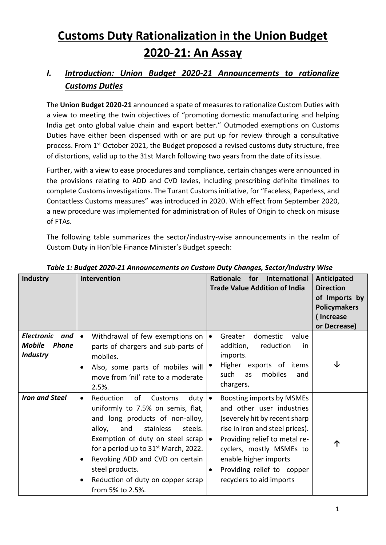# **Customs Duty Rationalization in the Union Budget 2020-21: An Assay**

# *I. Introduction: Union Budget 2020-21 Announcements to rationalize Customs Duties*

The **Union Budget 2020-21** announced a spate of measures to rationalize Custom Duties with a view to meeting the twin objectives of "promoting domestic manufacturing and helping India get onto global value chain and export better." Outmoded exemptions on Customs Duties have either been dispensed with or are put up for review through a consultative process. From 1st October 2021, the Budget proposed a revised customs duty structure, free of distortions, valid up to the 31st March following two years from the date of its issue.

Further, with a view to ease procedures and compliance, certain changes were announced in the provisions relating to ADD and CVD levies, including prescribing definite timelines to complete Customs investigations. The Turant Customs initiative, for "Faceless, Paperless, and Contactless Customs measures" was introduced in 2020. With effect from September 2020, a new procedure was implemented for administration of Rules of Origin to check on misuse of FTAs.

The following table summarizes the sector/industry-wise announcements in the realm of Custom Duty in Hon'ble Finance Minister's Budget speech:

| <b>Industry</b>                                                              | Intervention                                                                                                                                                                                                                                                                                                                                                            | <b>Rationale</b><br>for<br>International<br><b>Trade Value Addition of India</b>                                                                                                                                                                                                                          | Anticipated<br><b>Direction</b><br>of Imports by<br><b>Policymakers</b><br>(Increase<br>or Decrease) |
|------------------------------------------------------------------------------|-------------------------------------------------------------------------------------------------------------------------------------------------------------------------------------------------------------------------------------------------------------------------------------------------------------------------------------------------------------------------|-----------------------------------------------------------------------------------------------------------------------------------------------------------------------------------------------------------------------------------------------------------------------------------------------------------|------------------------------------------------------------------------------------------------------|
| <b>Electronic</b><br>and<br><b>Mobile</b><br><b>Phone</b><br><b>Industry</b> | Withdrawal of few exemptions on<br>parts of chargers and sub-parts of<br>mobiles.<br>Also, some parts of mobiles will<br>٠<br>move from 'nil' rate to a moderate<br>2.5%.                                                                                                                                                                                               | domestic<br>Greater<br>value<br>reduction<br>addition,<br>.in<br>imports.<br>Higher exports of items<br>mobiles<br>such<br>as<br>and<br>chargers.                                                                                                                                                         |                                                                                                      |
| <b>Iron and Steel</b>                                                        | Reduction<br>of<br>Customs<br>duty<br>uniformly to 7.5% on semis, flat,<br>and long products of non-alloy,<br>stainless<br>alloy,<br>and<br>steels.<br>Exemption of duty on steel scrap<br>for a period up to 31 <sup>st</sup> March, 2022.<br>Revoking ADD and CVD on certain<br>steel products.<br>Reduction of duty on copper scrap<br>$\bullet$<br>from 5% to 2.5%. | Boosting imports by MSMEs<br>$\bullet$<br>and other user industries<br>(severely hit by recent sharp<br>rise in iron and steel prices).<br>Providing relief to metal re-<br>$\bullet$<br>cyclers, mostly MSMEs to<br>enable higher imports<br>Providing relief to copper<br>٠<br>recyclers to aid imports | ↑                                                                                                    |

*Table 1: Budget 2020-21 Announcements on Custom Duty Changes, Sector/Industry Wise*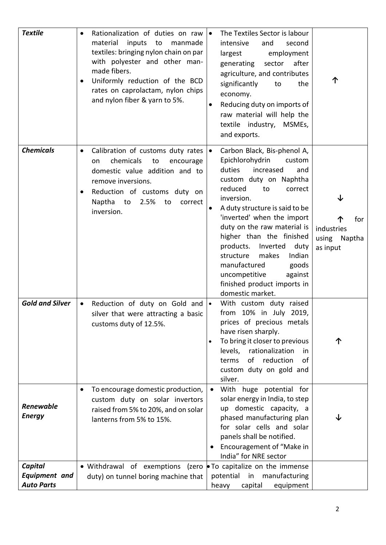| <b>Textile</b>                                       | Rationalization of duties on raw<br>$\bullet$<br>material<br>inputs<br>to<br>manmade<br>textiles: bringing nylon chain on par<br>with polyester and other man-<br>made fibers.<br>Uniformly reduction of the BCD<br>rates on caprolactam, nylon chips<br>and nylon fiber & yarn to 5%. | The Textiles Sector is labour<br>$\bullet$<br>intensive<br>and<br>second<br>employment<br>largest<br>sector<br>after<br>generating<br>agriculture, and contributes<br>significantly<br>the<br>to<br>economy.<br>Reducing duty on imports of<br>raw material will help the<br>textile industry, MSMEs,<br>and exports.                                                                                                                                                                    |                                               |
|------------------------------------------------------|----------------------------------------------------------------------------------------------------------------------------------------------------------------------------------------------------------------------------------------------------------------------------------------|------------------------------------------------------------------------------------------------------------------------------------------------------------------------------------------------------------------------------------------------------------------------------------------------------------------------------------------------------------------------------------------------------------------------------------------------------------------------------------------|-----------------------------------------------|
| <b>Chemicals</b>                                     | Calibration of customs duty rates<br>$\bullet$<br>chemicals<br>to<br>encourage<br>on<br>domestic value addition and to<br>remove inversions.<br>Reduction of customs duty on<br>$\bullet$<br>Naptha<br>to<br>2.5%<br>to<br>correct<br>inversion.                                       | Carbon Black, Bis-phenol A,<br>$\bullet$<br>Epichlorohydrin<br>custom<br>duties<br>increased<br>and<br>custom duty on Naphtha<br>reduced<br>to<br>correct<br>inversion.<br>A duty structure is said to be<br>$\bullet$<br>'inverted' when the import<br>duty on the raw material is<br>higher than the finished<br>products.<br>Inverted<br>duty<br>Indian<br>structure<br>makes<br>manufactured<br>goods<br>uncompetitive<br>against<br>finished product imports in<br>domestic market. | for<br>industries<br>using Naptha<br>as input |
| <b>Gold and Silver</b>                               | Reduction of duty on Gold and<br>silver that were attracting a basic<br>customs duty of 12.5%.                                                                                                                                                                                         | With custom duty raised<br>$\bullet$<br>from 10% in July 2019,<br>prices of precious metals<br>have risen sharply.<br>To bring it closer to previous<br>levels,<br>rationalization<br>in<br>of reduction<br><b>of</b><br>terms<br>custom duty on gold and<br>silver.                                                                                                                                                                                                                     |                                               |
| <b>Renewable</b><br><b>Energy</b>                    | To encourage domestic production,<br>٠<br>custom duty on solar invertors<br>raised from 5% to 20%, and on solar<br>lanterns from 5% to 15%.                                                                                                                                            | With huge potential for<br>solar energy in India, to step<br>up domestic capacity, a<br>phased manufacturing plan<br>for solar cells and solar<br>panels shall be notified.<br>Encouragement of "Make in<br>India" for NRE sector                                                                                                                                                                                                                                                        | J                                             |
| Capital<br><b>Equipment</b> and<br><b>Auto Parts</b> | · Withdrawal of exemptions (zero<br>duty) on tunnel boring machine that                                                                                                                                                                                                                | • To capitalize on the immense<br>potential in<br>manufacturing<br>heavy<br>capital<br>equipment                                                                                                                                                                                                                                                                                                                                                                                         |                                               |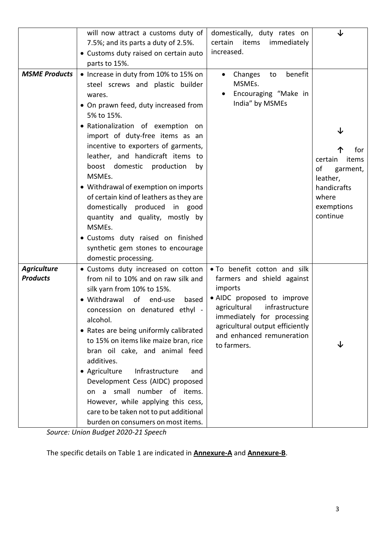|                      | will now attract a customs duty of                                                                                                                                                                                                                                                                                                                                                                                                                                                                                                                                                   | domestically, duty rates on                                                                                                                                                                                        | ↓                                                                                                       |
|----------------------|--------------------------------------------------------------------------------------------------------------------------------------------------------------------------------------------------------------------------------------------------------------------------------------------------------------------------------------------------------------------------------------------------------------------------------------------------------------------------------------------------------------------------------------------------------------------------------------|--------------------------------------------------------------------------------------------------------------------------------------------------------------------------------------------------------------------|---------------------------------------------------------------------------------------------------------|
|                      | 7.5%; and its parts a duty of 2.5%.                                                                                                                                                                                                                                                                                                                                                                                                                                                                                                                                                  | certain<br>items<br>immediately                                                                                                                                                                                    |                                                                                                         |
|                      | • Customs duty raised on certain auto                                                                                                                                                                                                                                                                                                                                                                                                                                                                                                                                                | increased.                                                                                                                                                                                                         |                                                                                                         |
|                      | parts to 15%.                                                                                                                                                                                                                                                                                                                                                                                                                                                                                                                                                                        |                                                                                                                                                                                                                    |                                                                                                         |
| <b>MSME Products</b> | • Increase in duty from 10% to 15% on<br>steel screws and plastic builder<br>wares.<br>• On prawn feed, duty increased from<br>5% to 15%.<br>· Rationalization of exemption on<br>import of duty-free items as an<br>incentive to exporters of garments,<br>leather, and handicraft items to<br>boost domestic production<br>by<br>MSMEs.<br>• Withdrawal of exemption on imports<br>of certain kind of leathers as they are<br>domestically produced in good<br>quantity and quality, mostly by<br>MSMEs.<br>· Customs duty raised on finished<br>synthetic gem stones to encourage | benefit<br>Changes<br>to<br>MSMEs.<br>Encouraging "Make in<br>India" by MSMEs                                                                                                                                      | for<br>items<br>certain<br>οf<br>garment,<br>leather,<br>handicrafts<br>where<br>exemptions<br>continue |
|                      | domestic processing.                                                                                                                                                                                                                                                                                                                                                                                                                                                                                                                                                                 |                                                                                                                                                                                                                    |                                                                                                         |
| <b>Agriculture</b>   | • Customs duty increased on cotton                                                                                                                                                                                                                                                                                                                                                                                                                                                                                                                                                   | . To benefit cotton and silk                                                                                                                                                                                       |                                                                                                         |
| <b>Products</b>      | from nil to 10% and on raw silk and<br>silk yarn from 10% to 15%.<br>• Withdrawal<br>of<br>end-use<br>based<br>concession on denatured ethyl -<br>alcohol.<br>• Rates are being uniformly calibrated<br>to 15% on items like maize bran, rice<br>bran oil cake, and animal feed<br>additives.<br>• Agriculture<br>Infrastructure<br>and<br>Development Cess (AIDC) proposed<br>on a small number of items.<br>However, while applying this cess,<br>care to be taken not to put additional<br>burden on consumers on most items.                                                     | farmers and shield against<br>imports<br>• AIDC proposed to improve<br>agricultural<br>infrastructure<br>immediately for processing<br>agricultural output efficiently<br>and enhanced remuneration<br>to farmers. | ◡                                                                                                       |

*Source: Union Budget 2020-21 Speech* 

The specific details on Table 1 are indicated in **Annexure-A** and **Annexure-B**.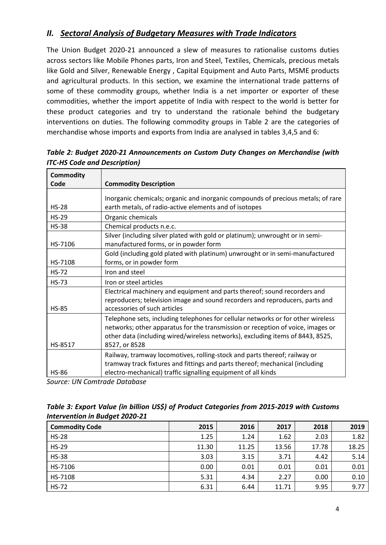# *II. Sectoral Analysis of Budgetary Measures with Trade Indicators*

The Union Budget 2020-21 announced a slew of measures to rationalise customs duties across sectors like Mobile Phones parts, Iron and Steel, Textiles, Chemicals, precious metals like Gold and Silver, Renewable Energy , Capital Equipment and Auto Parts, MSME products and agricultural products. In this section, we examine the international trade patterns of some of these commodity groups, whether India is a net importer or exporter of these commodities, whether the import appetite of India with respect to the world is better for these product categories and try to understand the rationale behind the budgetary interventions on duties. The following commodity groups in Table 2 are the categories of merchandise whose imports and exports from India are analysed in tables 3,4,5 and 6:

| <b>Commodity</b> |                                                                                                                                                                                                                                                                        |
|------------------|------------------------------------------------------------------------------------------------------------------------------------------------------------------------------------------------------------------------------------------------------------------------|
| Code             | <b>Commodity Description</b>                                                                                                                                                                                                                                           |
| $HS-28$          | Inorganic chemicals; organic and inorganic compounds of precious metals; of rare<br>earth metals, of radio-active elements and of isotopes                                                                                                                             |
| $HS-29$          | Organic chemicals                                                                                                                                                                                                                                                      |
| <b>HS-38</b>     | Chemical products n.e.c.                                                                                                                                                                                                                                               |
| HS-7106          | Silver (including silver plated with gold or platinum); unwrought or in semi-<br>manufactured forms, or in powder form                                                                                                                                                 |
| HS-7108          | Gold (including gold plated with platinum) unwrought or in semi-manufactured<br>forms, or in powder form                                                                                                                                                               |
| <b>HS-72</b>     | Iron and steel                                                                                                                                                                                                                                                         |
| $HS-73$          | Iron or steel articles                                                                                                                                                                                                                                                 |
| <b>HS-85</b>     | Electrical machinery and equipment and parts thereof; sound recorders and<br>reproducers; television image and sound recorders and reproducers, parts and<br>accessories of such articles                                                                              |
| HS-8517          | Telephone sets, including telephones for cellular networks or for other wireless<br>networks; other apparatus for the transmission or reception of voice, images or<br>other data (including wired/wireless networks), excluding items of 8443, 8525,<br>8527, or 8528 |
| <b>HS-86</b>     | Railway, tramway locomotives, rolling-stock and parts thereof; railway or<br>tramway track fixtures and fittings and parts thereof; mechanical (including<br>electro-mechanical) traffic signalling equipment of all kinds                                             |

*Table 2: Budget 2020-21 Announcements on Custom Duty Changes on Merchandise (with ITC-HS Code and Description)*

| Table 3: Export Value (in billion US\$) of Product Categories from 2015-2019 with Customs |  |
|-------------------------------------------------------------------------------------------|--|
| <b>Intervention in Budget 2020-21</b>                                                     |  |

| <b>Commodity Code</b> | 2015  | 2016  | 2017  | 2018  | 2019  |
|-----------------------|-------|-------|-------|-------|-------|
| <b>HS-28</b>          | 1.25  | 1.24  | 1.62  | 2.03  | 1.82  |
| <b>HS-29</b>          | 11.30 | 11.25 | 13.56 | 17.78 | 18.25 |
| <b>HS-38</b>          | 3.03  | 3.15  | 3.71  | 4.42  | 5.14  |
| HS-7106               | 0.00  | 0.01  | 0.01  | 0.01  | 0.01  |
| HS-7108               | 5.31  | 4.34  | 2.27  | 0.00  | 0.10  |
| <b>HS-72</b>          | 6.31  | 6.44  | 11.71 | 9.95  | 9.77  |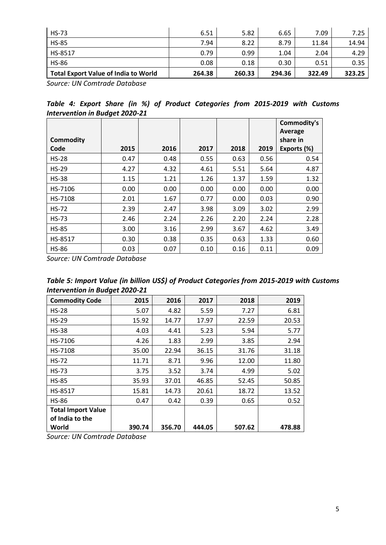| <b>HS-73</b>                                | 6.51   | 5.82   | 6.65   | 7.09   | 7.25   |
|---------------------------------------------|--------|--------|--------|--------|--------|
| <b>HS-85</b>                                | 7.94   | 8.22   | 8.79   | 11.84  | 14.94  |
| HS-8517                                     | 0.79   | 0.99   | 1.04   | 2.04   | 4.29   |
| <b>HS-86</b>                                | 0.08   | 0.18   | 0.30   | 0.51   | 0.35   |
| <b>Total Export Value of India to World</b> | 264.38 | 260.33 | 294.36 | 322.49 | 323.25 |

*Source: UN Comtrade Database*

|  |                                       |  |  | Table 4: Export Share (in %) of Product Categories from 2015-2019 with Customs |  |  |
|--|---------------------------------------|--|--|--------------------------------------------------------------------------------|--|--|
|  | <b>Intervention in Budget 2020-21</b> |  |  |                                                                                |  |  |

|                  |      |      |      |      |      | Commodity's |
|------------------|------|------|------|------|------|-------------|
|                  |      |      |      |      |      | Average     |
| <b>Commodity</b> |      |      |      |      |      | share in    |
| Code             | 2015 | 2016 | 2017 | 2018 | 2019 | Exports (%) |
| $HS-28$          | 0.47 | 0.48 | 0.55 | 0.63 | 0.56 | 0.54        |
| $HS-29$          | 4.27 | 4.32 | 4.61 | 5.51 | 5.64 | 4.87        |
| $HS-38$          | 1.15 | 1.21 | 1.26 | 1.37 | 1.59 | 1.32        |
| HS-7106          | 0.00 | 0.00 | 0.00 | 0.00 | 0.00 | 0.00        |
| HS-7108          | 2.01 | 1.67 | 0.77 | 0.00 | 0.03 | 0.90        |
| $HS-72$          | 2.39 | 2.47 | 3.98 | 3.09 | 3.02 | 2.99        |
| <b>HS-73</b>     | 2.46 | 2.24 | 2.26 | 2.20 | 2.24 | 2.28        |
| <b>HS-85</b>     | 3.00 | 3.16 | 2.99 | 3.67 | 4.62 | 3.49        |
| HS-8517          | 0.30 | 0.38 | 0.35 | 0.63 | 1.33 | 0.60        |
| <b>HS-86</b>     | 0.03 | 0.07 | 0.10 | 0.16 | 0.11 | 0.09        |

*Source: UN Comtrade Database*

| Table 5: Import Value (in billion US\$) of Product Categories from 2015-2019 with Customs |  |
|-------------------------------------------------------------------------------------------|--|
| <b>Intervention in Budget 2020-21</b>                                                     |  |

| <b>Commodity Code</b>     | 2015   | 2016   | 2017   | 2018   | 2019   |
|---------------------------|--------|--------|--------|--------|--------|
| <b>HS-28</b>              | 5.07   | 4.82   | 5.59   | 7.27   | 6.81   |
| $HS-29$                   | 15.92  | 14.77  | 17.97  | 22.59  | 20.53  |
| <b>HS-38</b>              | 4.03   | 4.41   | 5.23   | 5.94   | 5.77   |
| HS-7106                   | 4.26   | 1.83   | 2.99   | 3.85   | 2.94   |
| HS-7108                   | 35.00  | 22.94  | 36.15  | 31.76  | 31.18  |
| <b>HS-72</b>              | 11.71  | 8.71   | 9.96   | 12.00  | 11.80  |
| <b>HS-73</b>              | 3.75   | 3.52   | 3.74   | 4.99   | 5.02   |
| <b>HS-85</b>              | 35.93  | 37.01  | 46.85  | 52.45  | 50.85  |
| HS-8517                   | 15.81  | 14.73  | 20.61  | 18.72  | 13.52  |
| <b>HS-86</b>              | 0.47   | 0.42   | 0.39   | 0.65   | 0.52   |
| <b>Total Import Value</b> |        |        |        |        |        |
| of India to the           |        |        |        |        |        |
| World                     | 390.74 | 356.70 | 444.05 | 507.62 | 478.88 |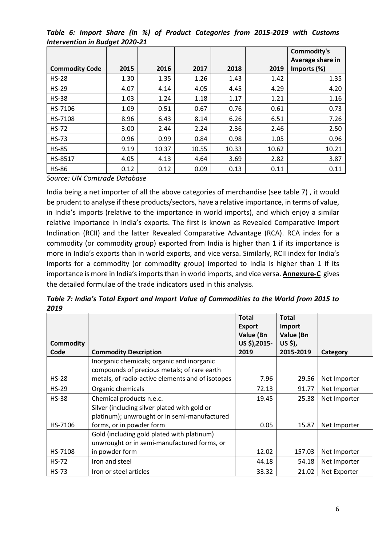*Table 6: Import Share (in %) of Product Categories from 2015-2019 with Customs Intervention in Budget 2020-21*

|                       |      |       |       |       |       | Commodity's                     |
|-----------------------|------|-------|-------|-------|-------|---------------------------------|
| <b>Commodity Code</b> | 2015 | 2016  | 2017  | 2018  | 2019  | Average share in<br>Imports (%) |
| $HS-28$               | 1.30 | 1.35  | 1.26  | 1.43  | 1.42  | 1.35                            |
| $HS-29$               | 4.07 | 4.14  | 4.05  | 4.45  | 4.29  | 4.20                            |
| <b>HS-38</b>          | 1.03 | 1.24  | 1.18  | 1.17  | 1.21  | 1.16                            |
| HS-7106               | 1.09 | 0.51  | 0.67  | 0.76  | 0.61  | 0.73                            |
| HS-7108               | 8.96 | 6.43  | 8.14  | 6.26  | 6.51  | 7.26                            |
| <b>HS-72</b>          | 3.00 | 2.44  | 2.24  | 2.36  | 2.46  | 2.50                            |
| <b>HS-73</b>          | 0.96 | 0.99  | 0.84  | 0.98  | 1.05  | 0.96                            |
| <b>HS-85</b>          | 9.19 | 10.37 | 10.55 | 10.33 | 10.62 | 10.21                           |
| HS-8517               | 4.05 | 4.13  | 4.64  | 3.69  | 2.82  | 3.87                            |
| <b>HS-86</b>          | 0.12 | 0.12  | 0.09  | 0.13  | 0.11  | 0.11                            |

*Source: UN Comtrade Database*

India being a net importer of all the above categories of merchandise (see table 7) , it would be prudent to analyse if these products/sectors, have a relative importance, in terms of value, in India's imports (relative to the importance in world imports), and which enjoy a similar relative importance in India's exports. The first is known as Revealed Comparative Import Inclination (RCII) and the latter Revealed Comparative Advantage (RCA). RCA index for a commodity (or commodity group) exported from India is higher than 1 if its importance is more in India's exports than in world exports, and vice versa. Similarly, RCII index for India's imports for a commodity (or commodity group) imported to India is higher than 1 if its importance is more in India's imports than in world imports, and vice versa. **Annexure-C** gives the detailed formulae of the trade indicators used in this analysis.

| Table 7: India's Total Export and Import Value of Commodities to the World from 2015 to |  |
|-----------------------------------------------------------------------------------------|--|
| 2019                                                                                    |  |

| <b>Commodity</b> |                                                  | <b>Total</b><br><b>Export</b><br>Value (Bn<br>US \$),2015- | <b>Total</b><br>Import<br>Value (Bn<br>US \$), |              |
|------------------|--------------------------------------------------|------------------------------------------------------------|------------------------------------------------|--------------|
| Code             | <b>Commodity Description</b>                     | 2019                                                       | 2015-2019                                      | Category     |
|                  | Inorganic chemicals; organic and inorganic       |                                                            |                                                |              |
|                  | compounds of precious metals; of rare earth      |                                                            |                                                |              |
| $HS-28$          | metals, of radio-active elements and of isotopes | 7.96                                                       | 29.56                                          | Net Importer |
| $HS-29$          | Organic chemicals                                | 72.13                                                      | 91.77                                          | Net Importer |
| <b>HS-38</b>     | Chemical products n.e.c.                         | 19.45                                                      | 25.38                                          | Net Importer |
|                  | Silver (including silver plated with gold or     |                                                            |                                                |              |
|                  | platinum); unwrought or in semi-manufactured     |                                                            |                                                |              |
| HS-7106          | forms, or in powder form                         | 0.05                                                       | 15.87                                          | Net Importer |
|                  | Gold (including gold plated with platinum)       |                                                            |                                                |              |
|                  | unwrought or in semi-manufactured forms, or      |                                                            |                                                |              |
| HS-7108          | in powder form                                   | 12.02                                                      | 157.03                                         | Net Importer |
| <b>HS-72</b>     | Iron and steel                                   | 44.18                                                      | 54.18                                          | Net Importer |
| <b>HS-73</b>     | Iron or steel articles                           | 33.32                                                      | 21.02                                          | Net Exporter |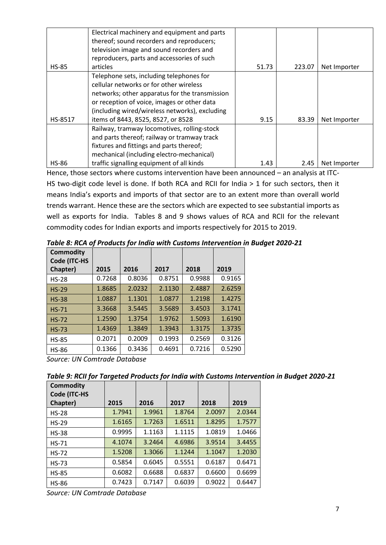|              | Electrical machinery and equipment and parts   |       |        |              |
|--------------|------------------------------------------------|-------|--------|--------------|
|              | thereof; sound recorders and reproducers;      |       |        |              |
|              | television image and sound recorders and       |       |        |              |
|              | reproducers, parts and accessories of such     |       |        |              |
| <b>HS-85</b> | articles                                       | 51.73 | 223.07 | Net Importer |
|              | Telephone sets, including telephones for       |       |        |              |
|              | cellular networks or for other wireless        |       |        |              |
|              | networks; other apparatus for the transmission |       |        |              |
|              | or reception of voice, images or other data    |       |        |              |
|              | (including wired/wireless networks), excluding |       |        |              |
| HS-8517      | items of 8443, 8525, 8527, or 8528             | 9.15  | 83.39  | Net Importer |
|              | Railway, tramway locomotives, rolling-stock    |       |        |              |
|              | and parts thereof; railway or tramway track    |       |        |              |
|              | fixtures and fittings and parts thereof;       |       |        |              |
|              | mechanical (including electro-mechanical)      |       |        |              |
| <b>HS-86</b> | traffic signalling equipment of all kinds      | 1.43  | 2.45   | Net Importer |

Hence, those sectors where customs intervention have been announced – an analysis at ITC-HS two-digit code level is done. If both RCA and RCII for India > 1 for such sectors, then it means India's exports and imports of that sector are to an extent more than overall world trends warrant. Hence these are the sectors which are expected to see substantial imports as well as exports for India. Tables 8 and 9 shows values of RCA and RCII for the relevant commodity codes for Indian exports and imports respectively for 2015 to 2019.

| <b>Commodity</b><br>Code (ITC-HS |        |        |        |        |        |
|----------------------------------|--------|--------|--------|--------|--------|
| Chapter)                         | 2015   | 2016   | 2017   | 2018   | 2019   |
| <b>HS-28</b>                     | 0.7268 | 0.8036 | 0.8751 | 0.9988 | 0.9165 |
| $HS-29$                          | 1.8685 | 2.0232 | 2.1130 | 2.4887 | 2.6259 |
| <b>HS-38</b>                     | 1.0887 | 1.1301 | 1.0877 | 1.2198 | 1.4275 |
| $HS-71$                          | 3.3668 | 3.5445 | 3.5689 | 3.4503 | 3.1741 |
| $HS-72$                          | 1.2590 | 1.3754 | 1.9762 | 1.5093 | 1.6190 |
| $HS-73$                          | 1.4369 | 1.3849 | 1.3943 | 1.3175 | 1.3735 |
| <b>HS-85</b>                     | 0.2071 | 0.2009 | 0.1993 | 0.2569 | 0.3126 |
| <b>HS-86</b>                     | 0.1366 | 0.3436 | 0.4691 | 0.7216 | 0.5290 |

*Table 8: RCA of Products for India with Customs Intervention in Budget 2020-21*

*Source: UN Comtrade Database*

*Table 9: RCII for Targeted Products for India with Customs Intervention in Budget 2020-21*

| <b>Commodity</b><br>Code (ITC-HS |        |        |        |        |        |
|----------------------------------|--------|--------|--------|--------|--------|
| Chapter)                         | 2015   | 2016   | 2017   | 2018   | 2019   |
| $HS-28$                          | 1.7941 | 1.9961 | 1.8764 | 2.0097 | 2.0344 |
| $HS-29$                          | 1.6165 | 1.7263 | 1.6511 | 1.8295 | 1.7577 |
| <b>HS-38</b>                     | 0.9995 | 1.1163 | 1.1115 | 1.0819 | 1.0466 |
| $HS-71$                          | 4.1074 | 3.2464 | 4.6986 | 3.9514 | 3.4455 |
| $HS-72$                          | 1.5208 | 1.3066 | 1.1244 | 1.1047 | 1.2030 |
| $HS-73$                          | 0.5854 | 0.6045 | 0.5551 | 0.6187 | 0.6471 |
| <b>HS-85</b>                     | 0.6082 | 0.6688 | 0.6837 | 0.6600 | 0.6699 |
| <b>HS-86</b>                     | 0.7423 | 0.7147 | 0.6039 | 0.9022 | 0.6447 |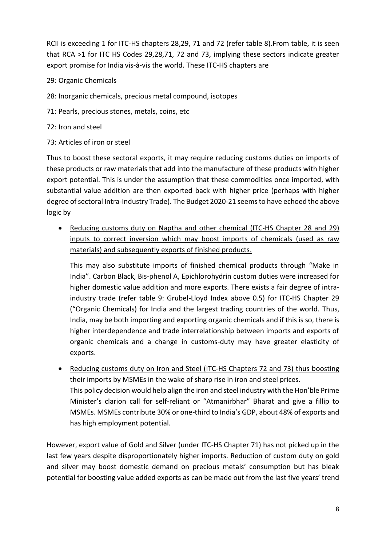RCII is exceeding 1 for ITC-HS chapters 28,29, 71 and 72 (refer table 8).From table, it is seen that RCA >1 for ITC HS Codes 29,28,71, 72 and 73, implying these sectors indicate greater export promise for India vis-à-vis the world. These ITC-HS chapters are

### 29: Organic Chemicals

- 28: Inorganic chemicals, precious metal compound, isotopes
- 71: Pearls, precious stones, metals, coins, etc
- 72: Iron and steel
- 73: Articles of iron or steel

Thus to boost these sectoral exports, it may require reducing customs duties on imports of these products or raw materials that add into the manufacture of these products with higher export potential. This is under the assumption that these commodities once imported, with substantial value addition are then exported back with higher price (perhaps with higher degree of sectoral Intra-Industry Trade). The Budget 2020-21 seems to have echoed the above logic by

 Reducing customs duty on Naptha and other chemical (ITC-HS Chapter 28 and 29) inputs to correct inversion which may boost imports of chemicals (used as raw materials) and subsequently exports of finished products.

This may also substitute imports of finished chemical products through "Make in India". Carbon Black, Bis-phenol A, Epichlorohydrin custom duties were increased for higher domestic value addition and more exports. There exists a fair degree of intraindustry trade (refer table 9: Grubel-Lloyd Index above 0.5) for ITC-HS Chapter 29 ("Organic Chemicals) for India and the largest trading countries of the world. Thus, India, may be both importing and exporting organic chemicals and if this is so, there is higher interdependence and trade interrelationship between imports and exports of organic chemicals and a change in customs-duty may have greater elasticity of exports.

 Reducing customs duty on Iron and Steel (ITC-HS Chapters 72 and 73) thus boosting their imports by MSMEs in the wake of sharp rise in iron and steel prices. This policy decision would help align the iron and steel industry with the Hon'ble Prime Minister's clarion call for self-reliant or "Atmanirbhar" Bharat and give a fillip to MSMEs. MSMEs contribute 30% or one-third to India's GDP, about 48% of exports and has high employment potential.

However, export value of Gold and Silver (under ITC-HS Chapter 71) has not picked up in the last few years despite disproportionately higher imports. Reduction of custom duty on gold and silver may boost domestic demand on precious metals' consumption but has bleak potential for boosting value added exports as can be made out from the last five years' trend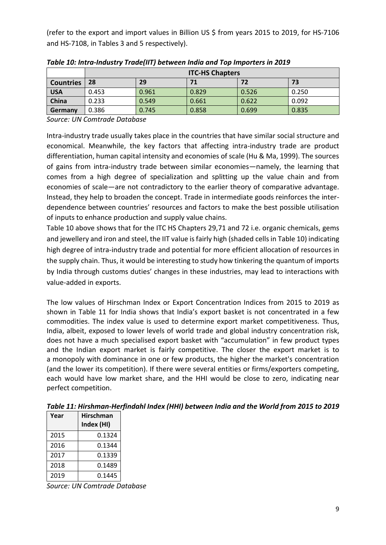(refer to the export and import values in Billion US \$ from years 2015 to 2019, for HS-7106 and HS-7108, in Tables 3 and 5 respectively).

|                  | <b>ITC-HS Chapters</b> |       |       |       |       |
|------------------|------------------------|-------|-------|-------|-------|
| <b>Countries</b> | 28                     | 29    |       | 72    | 73    |
| <b>USA</b>       | 0.453                  | 0.961 | 0.829 | 0.526 | 0.250 |
| China            | 0.233                  | 0.549 | 0.661 | 0.622 | 0.092 |
| Germany          | 0.386                  | 0.745 | 0.858 | 0.699 | 0.835 |

*Table 10: Intra-Industry Trade(IIT) between India and Top Importers in 2019*

*Source: UN Comtrade Database*

Intra-industry trade usually takes place in the countries that have similar social structure and economical. Meanwhile, the key factors that affecting intra-industry trade are product differentiation, human capital intensity and economies of scale (Hu & Ma, 1999). The sources of gains from intra-industry trade between similar economies—namely, the learning that comes from a high degree of specialization and splitting up the value chain and from economies of scale—are not contradictory to the earlier theory of comparative advantage. Instead, they help to broaden the concept. Trade in intermediate goods reinforces the interdependence between countries' resources and factors to make the best possible utilisation of inputs to enhance production and supply value chains.

Table 10 above shows that for the ITC HS Chapters 29,71 and 72 i.e. organic chemicals, gems and jewellery and iron and steel, the IIT value is fairly high (shaded cells in Table 10) indicating high degree of intra-industry trade and potential for more efficient allocation of resources in the supply chain. Thus, it would be interesting to study how tinkering the quantum of imports by India through customs duties' changes in these industries, may lead to interactions with value-added in exports.

The low values of Hirschman Index or Export Concentration Indices from 2015 to 2019 as shown in Table 11 for India shows that India's export basket is not concentrated in a few commodities. The index value is used to determine export market competitiveness. Thus, India, albeit, exposed to lower levels of world trade and global industry concentration risk, does not have a much specialised export basket with "accumulation" in few product types and the Indian export market is fairly competitive. The closer the export market is to a [monopoly](https://www.investopedia.com/terms/m/monopoly.asp) with dominance in one or few products, the higher the market's concentration (and the lower its competition). If there were several entities or firms/exporters competing, each would have low market share, and the HHI would be close to zero, indicating near perfect competition.

| Year | <b>Hirschman</b><br>Index (HI) |
|------|--------------------------------|
| 2015 | 0.1324                         |
| 2016 | 0.1344                         |
| 2017 | 0.1339                         |
| 2018 | 0.1489                         |
| 2019 | 0.1445                         |

*Table 11: Hirshman-Herfindahl Index (HHI) between India and the World from 2015 to 2019*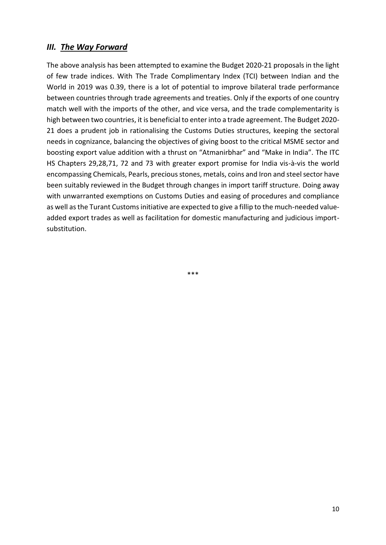## *III. The Way Forward*

The above analysis has been attempted to examine the Budget 2020-21 proposals in the light of few trade indices. With The Trade Complimentary Index (TCI) between Indian and the World in 2019 was 0.39, there is a lot of potential to improve bilateral trade performance between countries through trade agreements and treaties. Only if the exports of one country match well with the imports of the other, and vice versa, and the trade complementarity is high between two countries, it is beneficial to enter into a trade agreement. The Budget 2020- 21 does a prudent job in rationalising the Customs Duties structures, keeping the sectoral needs in cognizance, balancing the objectives of giving boost to the critical MSME sector and boosting export value addition with a thrust on "Atmanirbhar" and "Make in India". The ITC HS Chapters 29,28,71, 72 and 73 with greater export promise for India vis-à-vis the world encompassing Chemicals, Pearls, precious stones, metals, coins and Iron and steel sector have been suitably reviewed in the Budget through changes in import tariff structure. Doing away with unwarranted exemptions on Customs Duties and easing of procedures and compliance as well as the Turant Customs initiative are expected to give a fillip to the much-needed valueadded export trades as well as facilitation for domestic manufacturing and judicious importsubstitution.

\*\*\*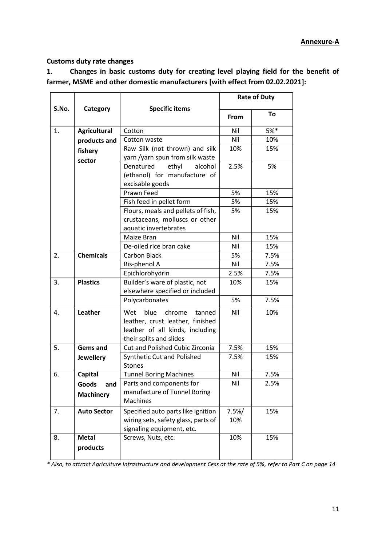#### **Customs duty rate changes**

**1. Changes in basic customs duty for creating level playing field for the benefit of farmer, MSME and other domestic manufacturers [with effect from 02.02.2021]:**

|       |                     |                                     | <b>Rate of Duty</b> |      |  |
|-------|---------------------|-------------------------------------|---------------------|------|--|
| S.No. | Category            | <b>Specific items</b>               | From                | To   |  |
| 1.    | <b>Agricultural</b> | Cotton                              | Nil                 | 5%*  |  |
|       | products and        | Cotton waste                        | Nil                 | 10%  |  |
|       | fishery             | Raw Silk (not thrown) and silk      | 10%                 | 15%  |  |
|       | sector              | yarn /yarn spun from silk waste     |                     |      |  |
|       |                     | ethyl<br>alcohol<br>Denatured       | 2.5%                | 5%   |  |
|       |                     | (ethanol) for manufacture of        |                     |      |  |
|       |                     | excisable goods                     |                     |      |  |
|       |                     | Prawn Feed                          | 5%                  | 15%  |  |
|       |                     | Fish feed in pellet form            | 5%                  | 15%  |  |
|       |                     | Flours, meals and pellets of fish,  | 5%                  | 15%  |  |
|       |                     | crustaceans, molluscs or other      |                     |      |  |
|       |                     | aquatic invertebrates               |                     |      |  |
|       |                     | Maize Bran                          | Nil                 | 15%  |  |
|       |                     | De-oiled rice bran cake             | Nil                 | 15%  |  |
| 2.    | <b>Chemicals</b>    | Carbon Black                        | 5%                  | 7.5% |  |
|       |                     | Bis-phenol A                        | Nil                 | 7.5% |  |
|       |                     | Epichlorohydrin                     | 2.5%                | 7.5% |  |
| 3.    | <b>Plastics</b>     | Builder's ware of plastic, not      | 10%                 | 15%  |  |
|       |                     | elsewhere specified or included     |                     |      |  |
|       |                     | Polycarbonates                      | 5%                  | 7.5% |  |
| 4.    | Leather             | blue<br>Wet<br>chrome<br>tanned     | Nil                 | 10%  |  |
|       |                     | leather, crust leather, finished    |                     |      |  |
|       |                     | leather of all kinds, including     |                     |      |  |
|       |                     | their splits and slides             |                     |      |  |
| 5.    | <b>Gems and</b>     | Cut and Polished Cubic Zirconia     | 7.5%                | 15%  |  |
|       | <b>Jewellery</b>    | Synthetic Cut and Polished          | 7.5%                | 15%  |  |
|       |                     | Stones                              |                     |      |  |
| 6.    | <b>Capital</b>      | <b>Tunnel Boring Machines</b>       | Nil                 | 7.5% |  |
|       | Goods<br>and        | Parts and components for            | Nil                 | 2.5% |  |
|       | <b>Machinery</b>    | manufacture of Tunnel Boring        |                     |      |  |
|       |                     | Machines                            |                     |      |  |
| 7.    | <b>Auto Sector</b>  | Specified auto parts like ignition  | 7.5%/               | 15%  |  |
|       |                     | wiring sets, safety glass, parts of | 10%                 |      |  |
|       |                     | signaling equipment, etc.           |                     |      |  |
| 8.    | <b>Metal</b>        | Screws, Nuts, etc.                  | 10%                 | 15%  |  |
|       | products            |                                     |                     |      |  |
|       |                     |                                     |                     |      |  |

*\* Also, to attract Agriculture Infrastructure and development Cess at the rate of 5%, refer to Part C on page 14*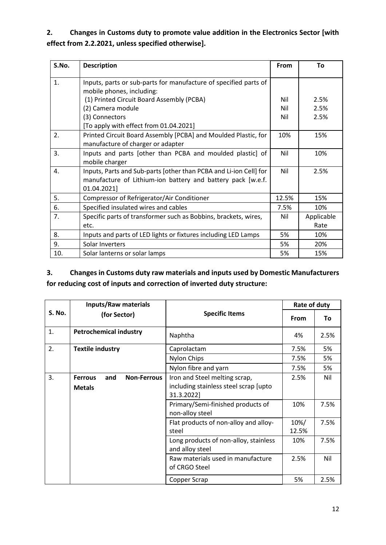# **2. Changes in Customs duty to promote value addition in the Electronics Sector [with effect from 2.2.2021, unless specified otherwise].**

| S.No. | <b>Description</b>                                                                                                                               | From     | Τo                 |
|-------|--------------------------------------------------------------------------------------------------------------------------------------------------|----------|--------------------|
| 1.    | Inputs, parts or sub-parts for manufacture of specified parts of<br>mobile phones, including:                                                    |          |                    |
|       | (1) Printed Circuit Board Assembly (PCBA)                                                                                                        | Nil      | 2.5%               |
|       | (2) Camera module                                                                                                                                | Nil      | 2.5%               |
|       | (3) Connectors                                                                                                                                   | Nil      | 2.5%               |
|       | [To apply with effect from 01.04.2021]                                                                                                           |          |                    |
| 2.    | Printed Circuit Board Assembly [PCBA] and Moulded Plastic, for<br>manufacture of charger or adapter                                              | 10%      | 15%                |
| 3.    | Inputs and parts [other than PCBA and moulded plastic] of<br>mobile charger                                                                      | Nil      | 10%                |
| 4.    | Inputs, Parts and Sub-parts [other than PCBA and Li-ion Cell] for<br>manufacture of Lithium-ion battery and battery pack [w.e.f.]<br>01.04.2021] | Nil      | 2.5%               |
| 5.    | Compressor of Refrigerator/Air Conditioner                                                                                                       | 12.5%    | 15%                |
| 6.    | Specified insulated wires and cables                                                                                                             | 7.5%     | 10%                |
| 7.    | Specific parts of transformer such as Bobbins, brackets, wires,<br>etc.                                                                          | Nil      | Applicable<br>Rate |
| 8.    | Inputs and parts of LED lights or fixtures including LED Lamps                                                                                   |          | 10%                |
| 9.    | Solar Inverters                                                                                                                                  | 5%<br>5% | 20%                |
| 10.   | Solar lanterns or solar lamps                                                                                                                    | 5%       | 15%                |

## **3. Changes in Customs duty raw materials and inputs used by Domestic Manufacturers for reducing cost of inputs and correction of inverted duty structure:**

|               | <b>Inputs/Raw materials</b>                                  |                                                                                      | Rate of duty  |      |
|---------------|--------------------------------------------------------------|--------------------------------------------------------------------------------------|---------------|------|
| <b>S. No.</b> | (for Sector)                                                 | <b>Specific Items</b>                                                                | <b>From</b>   | To   |
| 1.            | <b>Petrochemical industry</b>                                | Naphtha                                                                              | 4%            | 2.5% |
| 2.            | <b>Textile industry</b>                                      | Caprolactam                                                                          | 7.5%          | 5%   |
|               |                                                              | <b>Nylon Chips</b>                                                                   | 7.5%          | 5%   |
|               |                                                              | Nylon fibre and yarn                                                                 | 7.5%          | 5%   |
| 3.            | <b>Non-Ferrous</b><br><b>Ferrous</b><br>and<br><b>Metals</b> | Iron and Steel melting scrap,<br>including stainless steel scrap [upto<br>31.3.2022] | 2.5%          | Nil  |
|               |                                                              | Primary/Semi-finished products of<br>non-alloy steel                                 | 10%           | 7.5% |
|               |                                                              | Flat products of non-alloy and alloy-<br>steel                                       | 10%/<br>12.5% | 7.5% |
|               |                                                              | Long products of non-alloy, stainless<br>and alloy steel                             | 10%           | 7.5% |
|               |                                                              | Raw materials used in manufacture<br>of CRGO Steel                                   | 2.5%          | Nil  |
|               |                                                              | Copper Scrap                                                                         | 5%            | 2.5% |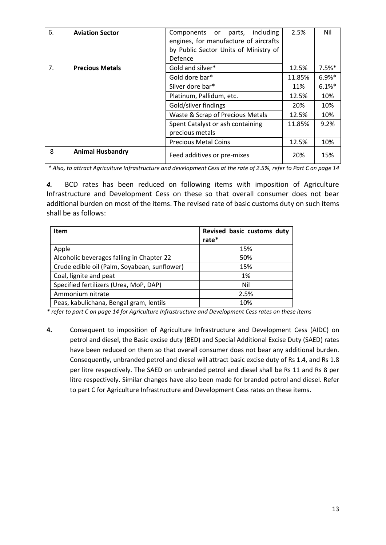| 6. | <b>Aviation Sector</b>  | including<br>Components or parts,<br>engines, for manufacture of aircrafts<br>by Public Sector Units of Ministry of<br>Defence | 2.5%   | Nil      |
|----|-------------------------|--------------------------------------------------------------------------------------------------------------------------------|--------|----------|
| 7. | <b>Precious Metals</b>  | Gold and silver*                                                                                                               | 12.5%  | $7.5%$ * |
|    |                         | Gold dore bar*                                                                                                                 | 11.85% | $6.9%$ * |
|    |                         | Silver dore bar*                                                                                                               | 11%    | 6.1%     |
|    |                         | Platinum, Pallidum, etc.                                                                                                       | 12.5%  | 10%      |
|    |                         | Gold/silver findings                                                                                                           | 20%    | 10%      |
|    |                         | Waste & Scrap of Precious Metals                                                                                               | 12.5%  | 10%      |
|    |                         | Spent Catalyst or ash containing<br>precious metals                                                                            | 11.85% | 9.2%     |
|    |                         | <b>Precious Metal Coins</b>                                                                                                    | 12.5%  | 10%      |
| 8  | <b>Animal Husbandry</b> | Feed additives or pre-mixes                                                                                                    | 20%    | 15%      |

*\* Also, to attract Agriculture Infrastructure and development Cess at the rate of 2.5%, refer to Part C on page 14*

*4.* BCD rates has been reduced on following items with imposition of Agriculture Infrastructure and Development Cess on these so that overall consumer does not bear additional burden on most of the items. The revised rate of basic customs duty on such items shall be as follows:

| <b>Item</b>                                  | Revised basic customs duty<br>rate* |
|----------------------------------------------|-------------------------------------|
| Apple                                        | 15%                                 |
| Alcoholic beverages falling in Chapter 22    | 50%                                 |
| Crude edible oil (Palm, Soyabean, sunflower) | 15%                                 |
| Coal, lignite and peat                       | 1%                                  |
| Specified fertilizers (Urea, MoP, DAP)       | Nil                                 |
| Ammonium nitrate                             | 2.5%                                |
| Peas, kabulichana, Bengal gram, lentils      | 10%                                 |

*\* refer to part C on page 14 for Agriculture Infrastructure and Development Cess rates on these items*

**4.** Consequent to imposition of Agriculture Infrastructure and Development Cess (AIDC) on petrol and diesel, the Basic excise duty (BED) and Special Additional Excise Duty (SAED) rates have been reduced on them so that overall consumer does not bear any additional burden. Consequently, unbranded petrol and diesel will attract basic excise duty of Rs 1.4, and Rs 1.8 per litre respectively. The SAED on unbranded petrol and diesel shall be Rs 11 and Rs 8 per litre respectively. Similar changes have also been made for branded petrol and diesel. Refer to part C for Agriculture Infrastructure and Development Cess rates on these items.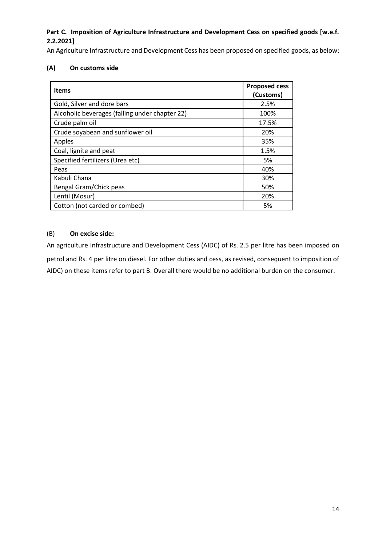#### Part C. Imposition of Agriculture Infrastructure and Development Cess on specified goods [w.e.f. **2.2.2021]**

An Agriculture Infrastructure and Development Cess has been proposed on specified goods, as below:

#### **(A) On customs side**

| <b>Items</b>                                   | <b>Proposed cess</b><br>(Customs) |  |
|------------------------------------------------|-----------------------------------|--|
| Gold, Silver and dore bars                     | 2.5%                              |  |
| Alcoholic beverages (falling under chapter 22) | 100%                              |  |
| Crude palm oil                                 | 17.5%                             |  |
| Crude soyabean and sunflower oil               | 20%                               |  |
| Apples                                         | 35%                               |  |
| Coal, lignite and peat                         | 1.5%                              |  |
| Specified fertilizers (Urea etc)               | 5%                                |  |
| Peas                                           | 40%                               |  |
| Kabuli Chana                                   | 30%                               |  |
| Bengal Gram/Chick peas<br>50%                  |                                   |  |
| Lentil (Mosur)                                 | 20%                               |  |
| Cotton (not carded or combed)                  | 5%                                |  |

#### (B) **On excise side:**

An agriculture Infrastructure and Development Cess (AIDC) of Rs. 2.5 per litre has been imposed on petrol and Rs. 4 per litre on diesel. For other duties and cess, as revised, consequent to imposition of AIDC) on these items refer to part B. Overall there would be no additional burden on the consumer.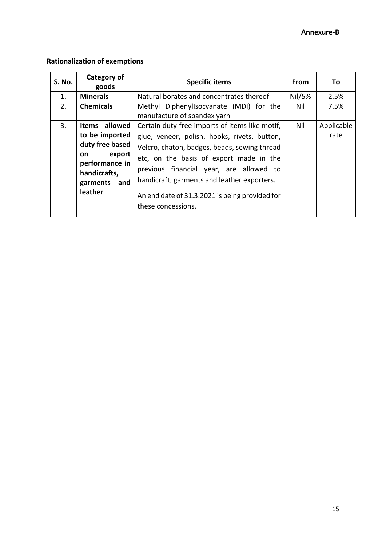#### **Annexure-B**

## **Rationalization of exemptions**

| <b>S. No.</b> | Category of<br>goods                                                                                                                  | <b>Specific items</b>                                                                                                                                                                                                                                                                                                                                       | <b>From</b> | To                 |
|---------------|---------------------------------------------------------------------------------------------------------------------------------------|-------------------------------------------------------------------------------------------------------------------------------------------------------------------------------------------------------------------------------------------------------------------------------------------------------------------------------------------------------------|-------------|--------------------|
| 1.            | <b>Minerals</b>                                                                                                                       | Natural borates and concentrates thereof                                                                                                                                                                                                                                                                                                                    | Nil/5%      | 2.5%               |
| 2.            | <b>Chemicals</b>                                                                                                                      | Methyl Diphenyllsocyanate (MDI) for the<br>manufacture of spandex yarn                                                                                                                                                                                                                                                                                      | Nil         | 7.5%               |
| 3.            | allowed<br>Items<br>to be imported<br>duty free based<br>export<br>on<br>performance in<br>handicrafts,<br>and<br>garments<br>leather | Certain duty-free imports of items like motif,<br>glue, veneer, polish, hooks, rivets, button,<br>Velcro, chaton, badges, beads, sewing thread<br>etc, on the basis of export made in the<br>previous financial year, are allowed to<br>handicraft, garments and leather exporters.<br>An end date of 31.3.2021 is being provided for<br>these concessions. | Nil         | Applicable<br>rate |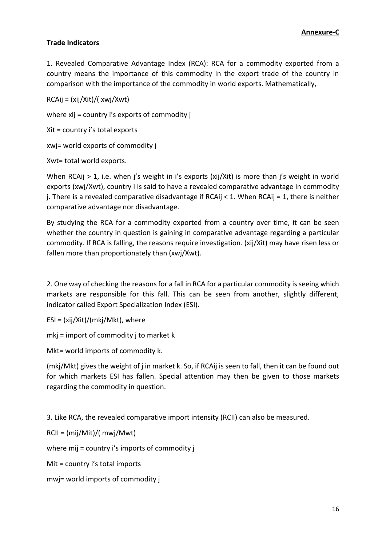#### **Trade Indicators**

1. Revealed Comparative Advantage Index (RCA): RCA for a commodity exported from a country means the importance of this commodity in the export trade of the country in comparison with the importance of the commodity in world exports. Mathematically,

RCAij = (xij/Xit)/( xwj/Xwt)

where xij = country i's exports of commodity j

Xit = country i's total exports

xwj= world exports of commodity j

Xwt= total world exports.

When RCAij > 1, i.e. when j's weight in i's exports (xij/Xit) is more than j's weight in world exports (xwj/Xwt), country i is said to have a revealed comparative advantage in commodity j. There is a revealed comparative disadvantage if RCAij < 1. When RCAij = 1, there is neither comparative advantage nor disadvantage.

By studying the RCA for a commodity exported from a country over time, it can be seen whether the country in question is gaining in comparative advantage regarding a particular commodity. If RCA is falling, the reasons require investigation. (xij/Xit) may have risen less or fallen more than proportionately than (xwj/Xwt).

2. One way of checking the reasons for a fall in RCA for a particular commodity is seeing which markets are responsible for this fall. This can be seen from another, slightly different, indicator called Export Specialization Index (ESI).

ESI = (xij/Xit)/(mkj/Mkt), where

mkj = import of commodity j to market k

Mkt= world imports of commodity k.

(mkj/Mkt) gives the weight of j in market k. So, if RCAij is seen to fall, then it can be found out for which markets ESI has fallen. Special attention may then be given to those markets regarding the commodity in question.

3. Like RCA, the revealed comparative import intensity (RCII) can also be measured.

RCII = (mij/Mit)/( mwj/Mwt)

where mij = country i's imports of commodity j

Mit = country i's total imports

mwj= world imports of commodity j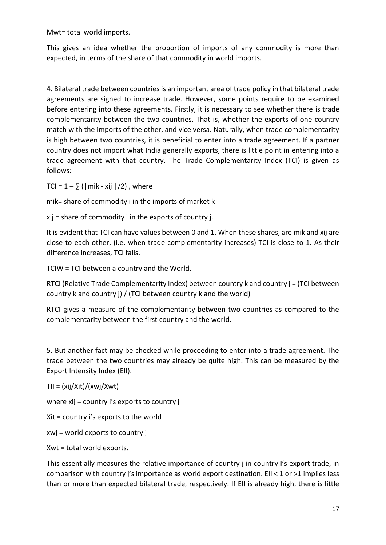Mwt= total world imports.

This gives an idea whether the proportion of imports of any commodity is more than expected, in terms of the share of that commodity in world imports.

4. Bilateral trade between countries is an important area of trade policy in that bilateral trade agreements are signed to increase trade. However, some points require to be examined before entering into these agreements. Firstly, it is necessary to see whether there is trade complementarity between the two countries. That is, whether the exports of one country match with the imports of the other, and vice versa. Naturally, when trade complementarity is high between two countries, it is beneficial to enter into a trade agreement. If a partner country does not import what India generally exports, there is little point in entering into a trade agreement with that country. The Trade Complementarity Index (TCI) is given as follows:

TCI =  $1 - \sum$  (|mik - xij |/2), where

mik= share of commodity i in the imports of market k

xij = share of commodity i in the exports of country j.

It is evident that TCI can have values between 0 and 1. When these shares, are mik and xij are close to each other, (i.e. when trade complementarity increases) TCI is close to 1. As their difference increases, TCI falls.

TCIW = TCI between a country and the World.

RTCI (Relative Trade Complementarity Index) between country k and country j = (TCI between country k and country j) / (TCI between country k and the world)

RTCI gives a measure of the complementarity between two countries as compared to the complementarity between the first country and the world.

5. But another fact may be checked while proceeding to enter into a trade agreement. The trade between the two countries may already be quite high. This can be measured by the Export Intensity Index (EII).

TII = (xij/Xit)/(xwj/Xwt)

where xij = country i's exports to country j

Xit = country i's exports to the world

xwj = world exports to country j

Xwt = total world exports.

This essentially measures the relative importance of country j in country I's export trade, in comparison with country j's importance as world export destination. EII < 1 or >1 implies less than or more than expected bilateral trade, respectively. If EII is already high, there is little